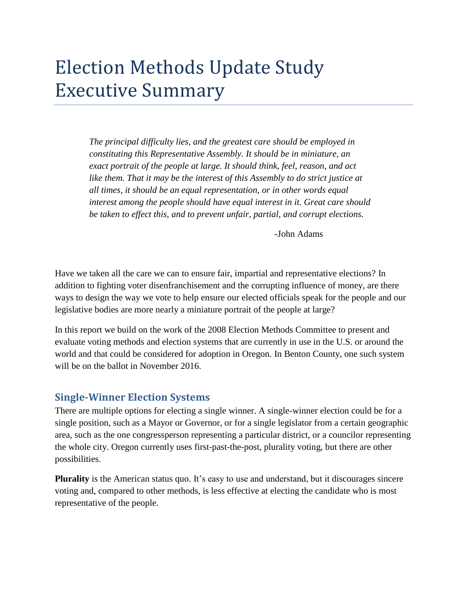# Election Methods Update Study Executive Summary

*The principal difficulty lies, and the greatest care should be employed in constituting this Representative Assembly. It should be in miniature, an exact portrait of the people at large. It should think, feel, reason, and act like them. That it may be the interest of this Assembly to do strict justice at all times, it should be an equal representation, or in other words equal interest among the people should have equal interest in it. Great care should be taken to effect this, and to prevent unfair, partial, and corrupt elections.*

-John Adams

Have we taken all the care we can to ensure fair, impartial and representative elections? In addition to fighting voter disenfranchisement and the corrupting influence of money, are there ways to design the way we vote to help ensure our elected officials speak for the people and our legislative bodies are more nearly a miniature portrait of the people at large?

In this report we build on the work of the 2008 Election Methods Committee to present and evaluate voting methods and election systems that are currently in use in the U.S. or around the world and that could be considered for adoption in Oregon. In Benton County, one such system will be on the ballot in November 2016.

#### **Single-Winner Election Systems**

There are multiple options for electing a single winner. A single-winner election could be for a single position, such as a Mayor or Governor, or for a single legislator from a certain geographic area, such as the one congressperson representing a particular district, or a councilor representing the whole city. Oregon currently uses first-past-the-post, plurality voting, but there are other possibilities.

**Plurality** is the American status quo. It's easy to use and understand, but it discourages sincere voting and, compared to other methods, is less effective at electing the candidate who is most representative of the people.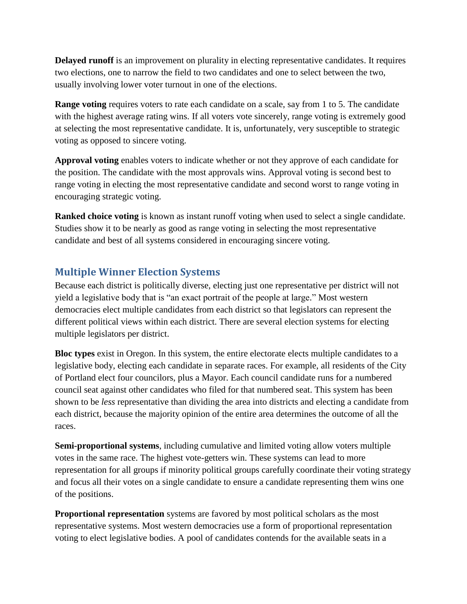**Delayed runoff** is an improvement on plurality in electing representative candidates. It requires two elections, one to narrow the field to two candidates and one to select between the two, usually involving lower voter turnout in one of the elections.

**Range voting** requires voters to rate each candidate on a scale, say from 1 to 5. The candidate with the highest average rating wins. If all voters vote sincerely, range voting is extremely good at selecting the most representative candidate. It is, unfortunately, very susceptible to strategic voting as opposed to sincere voting.

**Approval voting** enables voters to indicate whether or not they approve of each candidate for the position. The candidate with the most approvals wins. Approval voting is second best to range voting in electing the most representative candidate and second worst to range voting in encouraging strategic voting.

**Ranked choice voting** is known as instant runoff voting when used to select a single candidate. Studies show it to be nearly as good as range voting in selecting the most representative candidate and best of all systems considered in encouraging sincere voting.

### **Multiple Winner Election Systems**

Because each district is politically diverse, electing just one representative per district will not yield a legislative body that is "an exact portrait of the people at large." Most western democracies elect multiple candidates from each district so that legislators can represent the different political views within each district. There are several election systems for electing multiple legislators per district.

**Bloc types** exist in Oregon. In this system, the entire electorate elects multiple candidates to a legislative body, electing each candidate in separate races. For example, all residents of the City of Portland elect four councilors, plus a Mayor. Each council candidate runs for a numbered council seat against other candidates who filed for that numbered seat. This system has been shown to be *less* representative than dividing the area into districts and electing a candidate from each district, because the majority opinion of the entire area determines the outcome of all the races.

**Semi-proportional systems**, including cumulative and limited voting allow voters multiple votes in the same race. The highest vote-getters win. These systems can lead to more representation for all groups if minority political groups carefully coordinate their voting strategy and focus all their votes on a single candidate to ensure a candidate representing them wins one of the positions.

**Proportional representation** systems are favored by most political scholars as the most representative systems. Most western democracies use a form of proportional representation voting to elect legislative bodies. A pool of candidates contends for the available seats in a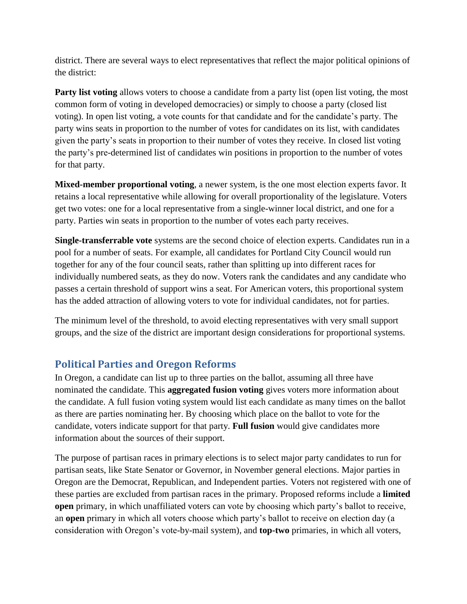district. There are several ways to elect representatives that reflect the major political opinions of the district:

**Party list voting** allows voters to choose a candidate from a party list (open list voting, the most common form of voting in developed democracies) or simply to choose a party (closed list voting). In open list voting, a vote counts for that candidate and for the candidate's party. The party wins seats in proportion to the number of votes for candidates on its list, with candidates given the party's seats in proportion to their number of votes they receive. In closed list voting the party's pre-determined list of candidates win positions in proportion to the number of votes for that party.

**Mixed-member proportional voting**, a newer system, is the one most election experts favor. It retains a local representative while allowing for overall proportionality of the legislature. Voters get two votes: one for a local representative from a single-winner local district, and one for a party. Parties win seats in proportion to the number of votes each party receives.

**Single-transferrable vote** systems are the second choice of election experts. Candidates run in a pool for a number of seats. For example, all candidates for Portland City Council would run together for any of the four council seats, rather than splitting up into different races for individually numbered seats, as they do now. Voters rank the candidates and any candidate who passes a certain threshold of support wins a seat. For American voters, this proportional system has the added attraction of allowing voters to vote for individual candidates, not for parties.

The minimum level of the threshold, to avoid electing representatives with very small support groups, and the size of the district are important design considerations for proportional systems.

### **Political Parties and Oregon Reforms**

In Oregon, a candidate can list up to three parties on the ballot, assuming all three have nominated the candidate. This **aggregated fusion voting** gives voters more information about the candidate. A full fusion voting system would list each candidate as many times on the ballot as there are parties nominating her. By choosing which place on the ballot to vote for the candidate, voters indicate support for that party. **Full fusion** would give candidates more information about the sources of their support.

The purpose of partisan races in primary elections is to select major party candidates to run for partisan seats, like State Senator or Governor, in November general elections. Major parties in Oregon are the Democrat, Republican, and Independent parties. Voters not registered with one of these parties are excluded from partisan races in the primary. Proposed reforms include a **limited open** primary, in which unaffiliated voters can vote by choosing which party's ballot to receive, an **open** primary in which all voters choose which party's ballot to receive on election day (a consideration with Oregon's vote-by-mail system), and **top-two** primaries, in which all voters,